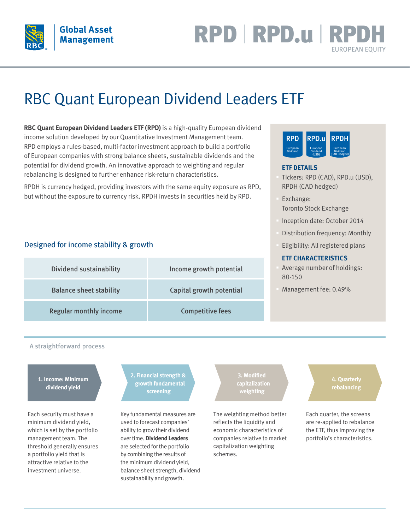

## RPD | RPD.u | RP EUROPEAN EQUITY

# RBC Quant European Dividend Leaders ETF

**RBC Quant European Dividend Leaders ETF (RPD)** is a high-quality European dividend income solution developed by our Quantitative Investment Management team. RPD employs a rules-based, multi-factor investment approach to build a portfolio of European companies with strong balance sheets, sustainable dividends and the potential for dividend growth. An innovative approach to weighting and regular rebalancing is designed to further enhance risk-return characteristics.

RPDH is currency hedged, providing investors with the same equity exposure as RPD, but without the exposure to currency risk. RPDH invests in securities held by RPD.

#### Designed for income stability & growth

| <b>Dividend sustainability</b> | Income growth potential  |
|--------------------------------|--------------------------|
| <b>Balance sheet stability</b> | Capital growth potential |
| <b>Regular monthly income</b>  | <b>Competitive fees</b>  |



#### **ETF DETAILS**

- § Tickers: RPD (CAD), RPD.u (USD), RPDH (CAD hedged)
- § Exchange: Toronto Stock Exchange
- § Inception date: October 2014
- Distribution frequency: Monthly
- § Eligibility: All registered plans

#### **ETF CHARACTERISTICS**

- § Average number of holdings: 80-150
- § Management fee: 0.49%

#### A straightforward process

#### **1. Income: Minimum dividend yield**

Each security must have a minimum dividend yield, which is set by the portfolio management team. The threshold generally ensures a portfolio yield that is attractive relative to the investment universe.

**2. Financial strength & growth fundamental screening**

Key fundamental measures are used to forecast companies' ability to grow their dividend over time. **Dividend Leaders** are selected for the portfolio by combining the results of the minimum dividend yield, balance sheet strength, dividend sustainability and growth.

**capitalization weighting**

The weighting method better reflects the liquidity and economic characteristics of companies relative to market capitalization weighting schemes.

**4. Quarterly rebalancing**

Each quarter, the screens are re-applied to rebalance the ETF, thus improving the portfolio's characteristics.